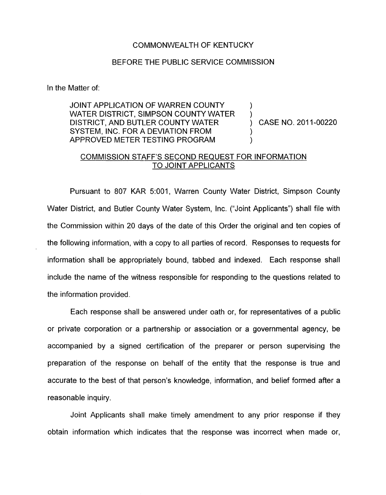## COMMONWEALTH OF KENTUCKY

## BEFORE THE PUBLIC SERVICE COMMISSION

In the Matter of:

JOINT APPLICATION OF WARREN COUNTY WATER DISTRICT, SIMPSON COUNTY WATER DISTRICT, AND BUTLER COUNTY WATER  $\qquad \qquad$  CASE NO. 2011-00220 SYSTEM, INC. FOR A DEVIATION FROM APPROVED METER TESTING PROGRAM )

)

## COMMISSION STAFF'S SECOND REQUEST FOR INFORMATION TO JOINT APPLICANTS

Pursuant to 807 KAR 5:001, Warren County Water District, Simpson County Water District, and Butler County Water System, Inc. ("Joint Applicants") shall file with the Commission within 20 days of the date of this Order the original and ten copies of the following information, with a copy to all parties of record. Responses to requests for information shall be appropriately bound, tabbed and indexed. Each response shall include the name of the witness responsible for responding to the questions related to the information provided.

Each response shall be answered under oath or, for representatives of a public or private corporation or a partnership or association or a governmental agency, be accompanied by a signed certification of the preparer or person supervising the preparation of the response on behalf of the entity that the response is true and accurate to the best of that person's knowledge, information, and belief formed after a reasonable inquiry.

Joint Applicants shall make timely amendment to any prior response if they obtain information which indicates that the response was incorrect when made or,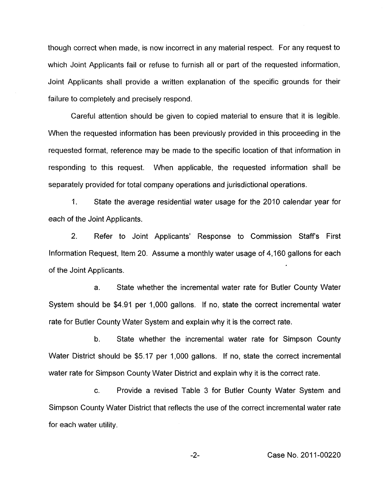though correct when made, is now incorrect in any material respect. For any request to which Joint Applicants fail or refuse to furnish all or part of the requested information, Joint Applicants shall provide a written explanation of the specific grounds for their failure to completely and precisely respond.

Careful attention should be given to copied material to ensure that it is legible. When the requested information has been previously provided in this proceeding in the requested format, reference may be made to the specific location of that information in responding to this request. When applicable, the requested information shall be separately provided for total company operations and jurisdictional operations.

1. State the average residential water usage for the 2010 calendar year for each of the Joint Applicants.

2. Refer to Joint Applicants' Response to Commission Staffs First Information Request, Item 20. Assume a monthly water usage of 4,160 gallons for each of the Joint Applicants.

a. State whether the incremental water rate for Butler County Water System should be \$4.91 per 1,000 gallons. If no, state the correct incremental water rate for Butler County Water System and explain why it is the correct rate.

b. State whether the incremental water rate for Simpson County Water District should be \$5.17 per 1,000 gallons. If no, state the correct incremental water rate for Simpson County Water District and explain why it is the correct rate.

c. Provide a revised Table 3 for Butler County Water System and Simpson County Water District that reflects the use of the correct incremental water rate for each water utility.

-2- Case No. 2011-00220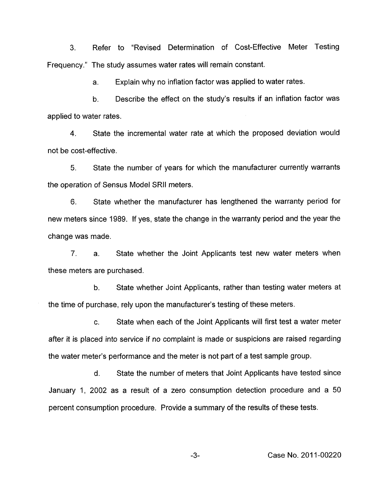3. Refer to "Revised Determination of Cost-Effective Meter Testing Frequency." The study assumes water rates will remain constant.

> a. Explain why no inflation factor was applied to water rates.

b. Describe the effect on the study's results if an inflation factor was applied to water rates.

**4.** State the incremental water rate at which the proposed deviation would not be cost-effective.

5. State the number of years for which the manufacturer currently warrants the operation of Sensus Model SRll meters.

6. State whether the manufacturer has lengthened the warranty period for new meters since 1989. If yes, state the change in the warranty period and the year the change was made.

7. a. State whether the Joint Applicants test new water meters when these meters are purchased.

b. State whether Joint Applicants, rather than testing water meters at the time of purchase, rely upon the manufacturer's testing of these meters.

c. State when each of the Joint Applicants will first test a water meter after it is placed into service if no complaint *is* made or suspicions are raised regarding the water meter's performance and the meter is not part of a test sample group.

d. State the number of meters that Joint Applicants have tested since January 1, 2002 as a result of a zero consumption detection procedure and a 50 percent consumption procedure. Provide a summary of the results of these tests.

**-3-** Case No. 201 1-00220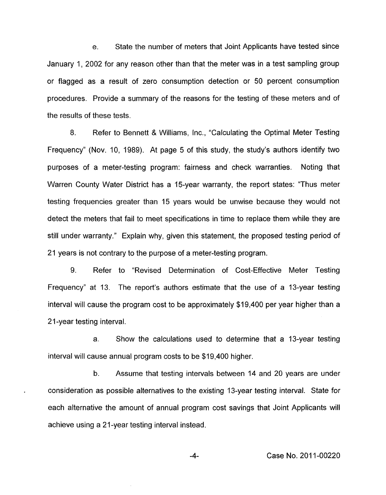e. State the number of meters that Joint Applicants have tested since January 1, 2002 for any reason other than that the meter was in a test sampling group or flagged as a result of zero consumption detection or 50 percent consumption procedures. Provide a summary of the reasons for the testing of these meters and of the results of these tests.

8. Refer to Bennett & Williams, Inc., "Calculating the Optimal Meter Testing Frequency" (Nov. IO, 1989). At page 5 of this study, the study's authors identify two purposes of a meter-testing program: fairness and check warranties. Noting that Warren County Water District has a 15-year warranty, the report states: "Thus meter testing frequencies greater than 15 years would be unwise because they would not detect the meters that fail to meet specifications in time to replace them while they are still under warranty." Explain why, given this statement, the proposed testing period of 21 years is not contrary to the purpose of a meter-testing program.

9. Refer to "Revised Determination of Cost-Effective Meter Testing Frequency" at 13. The report's authors estimate that the use of a 13-year testing interval will cause the program cost to be approximately \$19,400 per year higher than a 21-year testing interval.

a. Show the calculations used to determine that a 13-year testing interval will cause annual program costs to be \$19,400 higher.

b. Assume that testing intervals between 14 and 20 years are under consideration as possible alternatives to the existing 13-year testing interval. State for each alternative the amount of annual program cost savings that Joint Applicants will achieve using a 21-year testing interval instead.

-4- Case No. 201 1-00220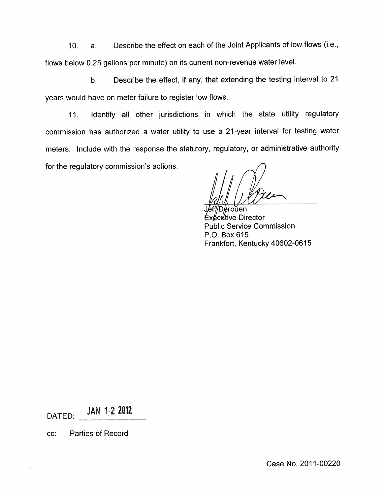IO. a. Describe the effect on each of the Joint Applicants of low flows (i.e., flows below 0.25 gallons per minute) on its current non-revenue water level.

b. Describe the effect, if any, that extending the testing interval to 21 years would have on meter failure to register low flows.

11. Identify all other jurisdictions in which the state utility regulatory commission has authorized a water utility to use a 21-year interval for testing water meters. Include with the response the statutory, regulatory, or administrative authority for the regulatory commission's actions.

∉roŭen cutive Director Public Service Commission P.O. Box 615 Frankfort, Kentucky 40602-0615

DATED: JAN 1-2 2012

cc: Parties of Record